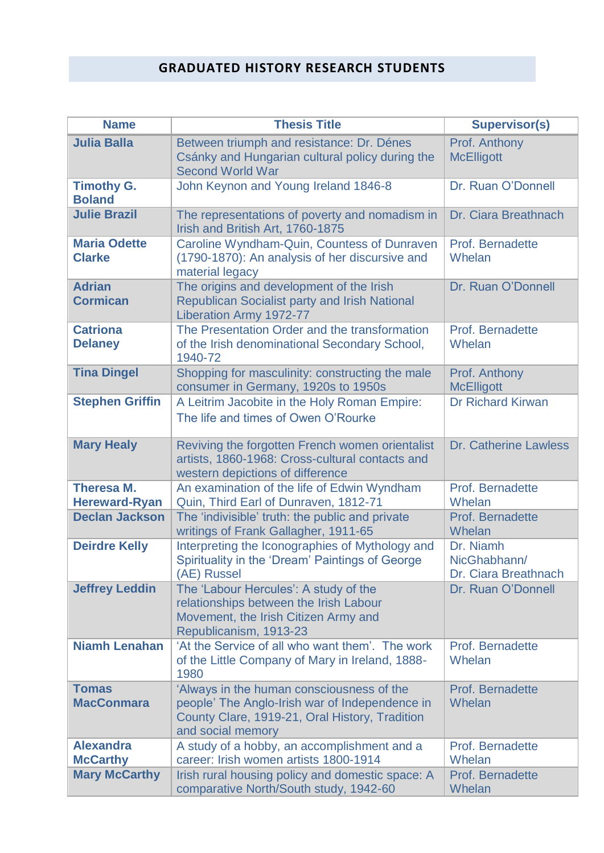## **GRADUATED HISTORY RESEARCH STUDENTS**

| <b>Name</b>                               | <b>Thesis Title</b>                                                                                                                                                | <b>Supervisor(s)</b>                              |
|-------------------------------------------|--------------------------------------------------------------------------------------------------------------------------------------------------------------------|---------------------------------------------------|
| <b>Julia Balla</b>                        | Between triumph and resistance: Dr. Dénes<br>Csánky and Hungarian cultural policy during the<br><b>Second World War</b>                                            | Prof. Anthony<br><b>McElligott</b>                |
| <b>Timothy G.</b><br><b>Boland</b>        | John Keynon and Young Ireland 1846-8                                                                                                                               | Dr. Ruan O'Donnell                                |
| <b>Julie Brazil</b>                       | The representations of poverty and nomadism in<br>Irish and British Art, 1760-1875                                                                                 | Dr. Ciara Breathnach                              |
| <b>Maria Odette</b><br><b>Clarke</b>      | Caroline Wyndham-Quin, Countess of Dunraven<br>(1790-1870): An analysis of her discursive and<br>material legacy                                                   | Prof. Bernadette<br>Whelan                        |
| <b>Adrian</b><br><b>Cormican</b>          | The origins and development of the Irish<br><b>Republican Socialist party and Irish National</b><br><b>Liberation Army 1972-77</b>                                 | Dr. Ruan O'Donnell                                |
| <b>Catriona</b><br><b>Delaney</b>         | The Presentation Order and the transformation<br>of the Irish denominational Secondary School,<br>1940-72                                                          | Prof. Bernadette<br>Whelan                        |
| <b>Tina Dingel</b>                        | Shopping for masculinity: constructing the male<br>consumer in Germany, 1920s to 1950s                                                                             | Prof. Anthony<br><b>McElligott</b>                |
| <b>Stephen Griffin</b>                    | A Leitrim Jacobite in the Holy Roman Empire:<br>The life and times of Owen O'Rourke                                                                                | <b>Dr Richard Kirwan</b>                          |
| <b>Mary Healy</b>                         | Reviving the forgotten French women orientalist<br>artists, 1860-1968: Cross-cultural contacts and<br>western depictions of difference                             | <b>Dr. Catherine Lawless</b>                      |
| <b>Theresa M.</b><br><b>Hereward-Ryan</b> | An examination of the life of Edwin Wyndham<br>Quin, Third Earl of Dunraven, 1812-71                                                                               | Prof. Bernadette<br>Whelan                        |
| <b>Declan Jackson</b>                     | The 'indivisible' truth: the public and private<br>writings of Frank Gallagher, 1911-65                                                                            | Prof. Bernadette<br>Whelan                        |
| <b>Deirdre Kelly</b>                      | Interpreting the Iconographies of Mythology and<br>Spirituality in the 'Dream' Paintings of George<br>(AE) Russel                                                  | Dr. Niamh<br>NicGhabhann/<br>Dr. Ciara Breathnach |
| <b>Jeffrey Leddin</b>                     | The 'Labour Hercules': A study of the<br>relationships between the Irish Labour<br>Movement, the Irish Citizen Army and<br>Republicanism, 1913-23                  | Dr. Ruan O'Donnell                                |
| <b>Niamh Lenahan</b>                      | 'At the Service of all who want them'. The work<br>of the Little Company of Mary in Ireland, 1888-<br>1980                                                         | Prof. Bernadette<br>Whelan                        |
| <b>Tomas</b><br><b>MacConmara</b>         | 'Always in the human consciousness of the<br>people' The Anglo-Irish war of Independence in<br>County Clare, 1919-21, Oral History, Tradition<br>and social memory | Prof. Bernadette<br>Whelan                        |
| <b>Alexandra</b><br><b>McCarthy</b>       | A study of a hobby, an accomplishment and a<br>career: Irish women artists 1800-1914                                                                               | Prof. Bernadette<br>Whelan                        |
| <b>Mary McCarthy</b>                      | Irish rural housing policy and domestic space: A<br>comparative North/South study, 1942-60                                                                         | Prof. Bernadette<br>Whelan                        |